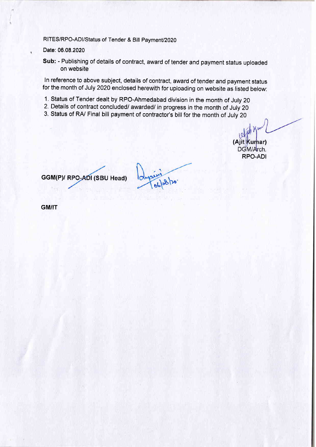## RITES/RPO-ADI/Status of Tender & Bill Payment/2020

Date: 06,08.2020

ï

Sub: - Publishing of details of contract, award of tender and payment status uploaded on website

In reference to above subject, details of contract, award of tender and payment status for the month of July 2020 enclosed herewith for uploading on website as listed below:

- 1. Status of Tender dealt by RPO-Ahmedabad division in the month of July 20
- 2. Details of contract concluded/ awarded/ in progress in the month of July 20
- 3. Status of RA/ Final bill payment of contractor's bill for the month of July 20

(Ajit Kumar) DGM/Arch. RPO.ADI

GGM(P)/ RPO-ADI (SBU Head)

 $66|88|20$ 

GM/IT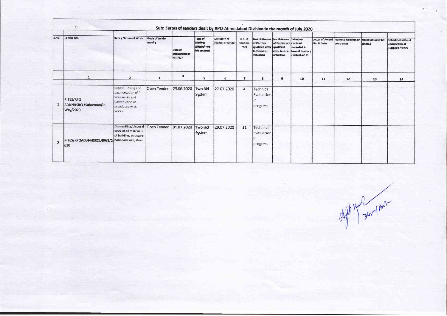|                | Æ.                                                    |                                                                                                             |                           |                                        |                                                           | Sub: Status of tenders dealt by RPO-Ahmedabad Division in the month of July 2020 |                           |                                                                                                |                                                                     |                                                |                               |                                 |                                      |                                                       |
|----------------|-------------------------------------------------------|-------------------------------------------------------------------------------------------------------------|---------------------------|----------------------------------------|-----------------------------------------------------------|----------------------------------------------------------------------------------|---------------------------|------------------------------------------------------------------------------------------------|---------------------------------------------------------------------|------------------------------------------------|-------------------------------|---------------------------------|--------------------------------------|-------------------------------------------------------|
| S.No.          | <b>Tender No.</b>                                     | Item / Nature of Work                                                                                       | Mode of tender<br>enquiry | Date of<br>publication of<br>NIT / LIT | Type of<br><b>Islanding</b><br>(Single/mva<br>bit system) | Last date of<br>receipt of tender                                                | No. of<br>tenders<br>recd | Nos. & Names No. & Name Whether<br>of Parrties<br>qualified after<br>technical e-<br>valuation | of Parties not contract<br>qualified<br>after tech. e-<br>valuation | awarded to<br>lowest tender /<br>evaluat-ed L1 | Letter of Award<br>No. & Date | Name & Address of<br>contractor | <b>Value of Contract</b><br>lân Rs.) | Scheduled date of<br>completion of<br>supplies / work |
|                | $\mathbf{1}$                                          | $\mathbf{2}$                                                                                                | 3                         | 4                                      | 5                                                         | 6                                                                                | $\overline{ }$            | $\bf{8}$                                                                                       | $\overline{9}$                                                      | 10                                             | 11                            | 12                              | 13                                   | 14                                                    |
|                | RITES/RPO-<br>ADI/NHSRCL/Sabarmati/P-<br>Way/2020     | Supply, Linking and<br>augmentation of P-<br>Way works and<br>Construction of<br>associated misc.<br>works. | Open Tender               | 23.06.2020                             | two Bid<br><b>S</b> ister                                 | 27.07.2020                                                                       | 4                         | Technical<br>Evaluation<br>ın<br>progress                                                      |                                                                     |                                                |                               |                                 |                                      |                                                       |
| $\overline{2}$ | RITES/RPOADI/NHSRCL/EWS/2 boundary wall, steel<br>020 | Dismantling/disposal<br>work of all materials<br>of building, structure,                                    | Open Tender               | 01.07.2020                             | tie ow T<br>S <sub>i</sub> ster                           | 29.07.2020                                                                       | 11                        | Technical<br>Evaluation<br>In<br>progress                                                      |                                                                     |                                                |                               |                                 |                                      |                                                       |

After My Zenni Aust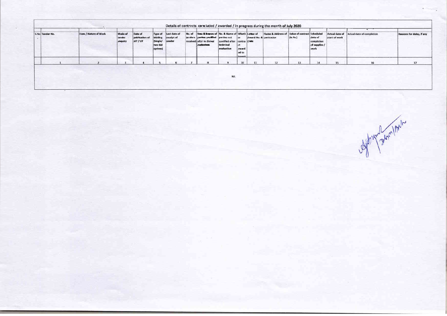| S.No Tender No. | Item / Nature of Work | Mode of<br>tender<br>enquiry | Date of<br>publication of<br>NIT / LIT | Type of<br>bidding<br>(Single/<br>two bid<br>system) | I.ast date of<br>receipt of<br>tender | No. of | Nes & Mannes of No. & Name of Wheth Lemer of<br>tenders perites qualified parties not<br>received after to dinimal<br>etaluation. | qualified after contra Date<br>technical<br>evaluation | ct<br>award<br>ed to<br><b>Louiseet</b> | Award No. & contractor | Name & Address of Value of contract Scheduled | $ $ (in Rs.)    | date of<br>completion<br>of supplies /<br>work<br>- 10<br>--- | Actual date of<br>start of work | Actual date of completion | <b>Reasons for delay, if any</b> |
|-----------------|-----------------------|------------------------------|----------------------------------------|------------------------------------------------------|---------------------------------------|--------|-----------------------------------------------------------------------------------------------------------------------------------|--------------------------------------------------------|-----------------------------------------|------------------------|-----------------------------------------------|-----------------|---------------------------------------------------------------|---------------------------------|---------------------------|----------------------------------|
|                 |                       |                              |                                        |                                                      |                                       |        |                                                                                                                                   |                                                        | 10                                      | 11                     | 12                                            | 13 <sup>°</sup> | 14                                                            | 15                              |                           | 17                               |

Aphyne Jennipol